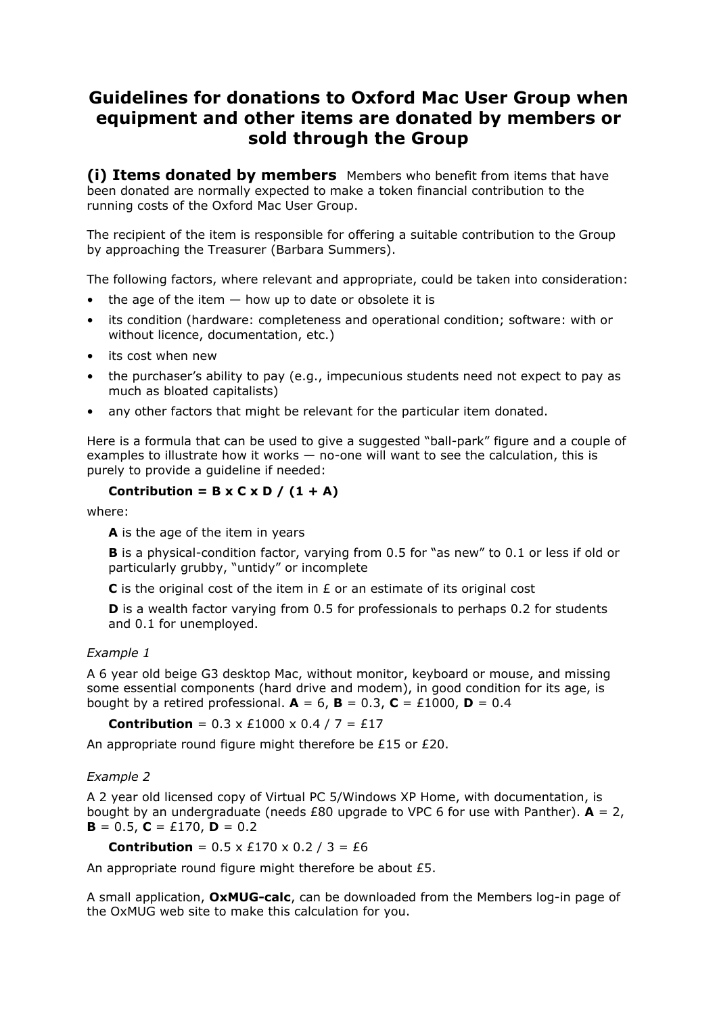## **Guidelines for donations to Oxford Mac User Group when equipment and other items are donated by members or sold through the Group**

**(i) Items donated by members** Members who benefit from items that have been donated are normally expected to make a token financial contribution to the running costs of the Oxford Mac User Group.

The recipient of the item is responsible for offering a suitable contribution to the Group by approaching the Treasurer (Barbara Summers).

The following factors, where relevant and appropriate, could be taken into consideration:

- $\bullet$  the age of the item  $-$  how up to date or obsolete it is
- its condition (hardware: completeness and operational condition; software: with or without licence, documentation, etc.)
- its cost when new
- the purchaser's ability to pay (e.g., impecunious students need not expect to pay as much as bloated capitalists)
- any other factors that might be relevant for the particular item donated.

Here is a formula that can be used to give a suggested "ball-park" figure and a couple of examples to illustrate how it works — no-one will want to see the calculation, this is purely to provide a guideline if needed:

## **Contribution = B x C x D / (1 + A)**

where:

**A** is the age of the item in years

**B** is a physical-condition factor, varying from 0.5 for "as new" to 0.1 or less if old or particularly grubby, "untidy" or incomplete

**C** is the original cost of the item in £ or an estimate of its original cost

**D** is a wealth factor varying from 0.5 for professionals to perhaps 0.2 for students and 0.1 for unemployed.

## *Example 1*

A 6 year old beige G3 desktop Mac, without monitor, keyboard or mouse, and missing some essential components (hard drive and modem), in good condition for its age, is bought by a retired professional.  $A = 6$ ,  $B = 0.3$ ,  $C = \text{\textsterling}1000$ ,  $D = 0.4$ 

**Contribution** =  $0.3 \times \text{\pounds}1000 \times 0.4 / 7 = \text{\pounds}17$ 

An appropriate round figure might therefore be £15 or £20.

## *Example 2*

A 2 year old licensed copy of Virtual PC 5/Windows XP Home, with documentation, is bought by an undergraduate (needs £80 upgrade to VPC 6 for use with Panther).  $A = 2$ ,  $\mathbf{B} = 0.5$ ,  $\mathbf{C} = \text{\textsterling}170$ ,  $\mathbf{D} = 0.2$ 

**Contribution** =  $0.5 \times £170 \times 0.2 / 3 = £6$ 

An appropriate round figure might therefore be about £5.

A small application, **OxMUG-calc**, can be downloaded from the Members log-in page of the OxMUG web site to make this calculation for you.